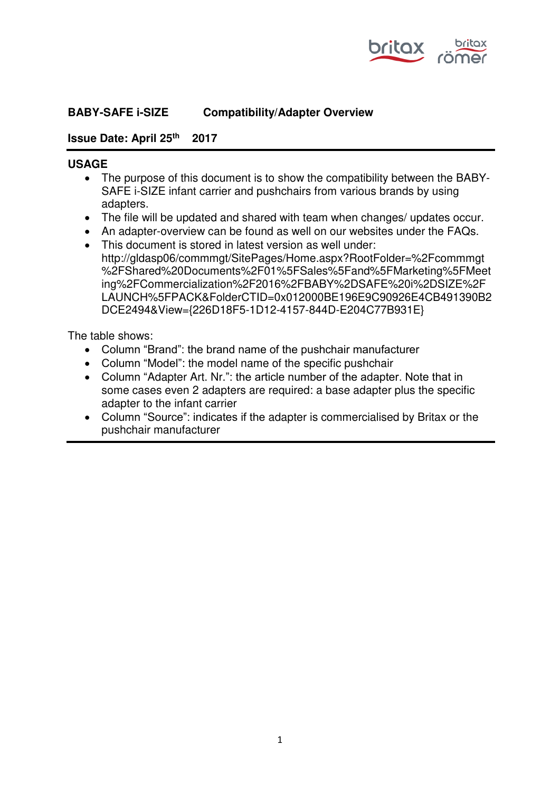

### **BABY-SAFE i-SIZE Compatibility/Adapter Overview**

#### **Issue Date: April 25th 2017**

#### **USAGE**

- The purpose of this document is to show the compatibility between the BABY-SAFE i-SIZE infant carrier and pushchairs from various brands by using adapters.
- The file will be updated and shared with team when changes/ updates occur.
- An adapter-overview can be found as well on our websites under the FAQs.
- This document is stored in latest version as well under: http://gldasp06/commmgt/SitePages/Home.aspx?RootFolder=%2Fcommmgt %2FShared%20Documents%2F01%5FSales%5Fand%5FMarketing%5FMeet ing%2FCommercialization%2F2016%2FBABY%2DSAFE%20i%2DSIZE%2F LAUNCH%5FPACK&FolderCTID=0x012000BE196E9C90926E4CB491390B2 DCE2494&View={226D18F5-1D12-4157-844D-E204C77B931E}

The table shows:

- Column "Brand": the brand name of the pushchair manufacturer
- Column "Model": the model name of the specific pushchair
- Column "Adapter Art. Nr.": the article number of the adapter. Note that in some cases even 2 adapters are required: a base adapter plus the specific adapter to the infant carrier
- Column "Source": indicates if the adapter is commercialised by Britax or the pushchair manufacturer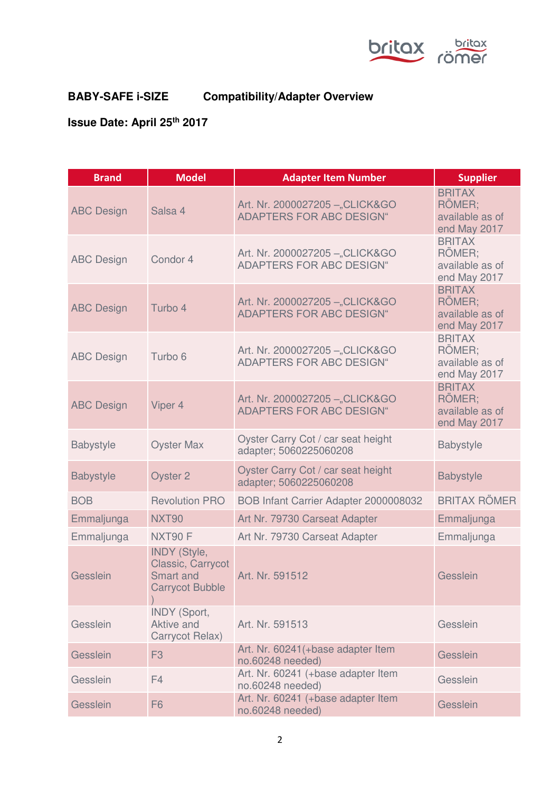

## **BABY-SAFE i-SIZE Compatibility/Adapter Overview**

# **Issue Date: April 25th 2017**

| <b>Brand</b>      | <b>Model</b>                                                                           | <b>Adapter Item Number</b>                                         | <b>Supplier</b>                                            |
|-------------------|----------------------------------------------------------------------------------------|--------------------------------------------------------------------|------------------------------------------------------------|
| <b>ABC Design</b> | Salsa 4                                                                                | Art. Nr. 2000027205 - "CLICK&GO<br><b>ADAPTERS FOR ABC DESIGN"</b> | <b>BRITAX</b><br>RÖMER;<br>available as of<br>end May 2017 |
| <b>ABC Design</b> | Condor 4                                                                               | Art. Nr. 2000027205 - "CLICK&GO<br><b>ADAPTERS FOR ABC DESIGN"</b> | <b>BRITAX</b><br>RÖMER:<br>available as of<br>end May 2017 |
| <b>ABC Design</b> | Turbo 4                                                                                | Art. Nr. 2000027205 - "CLICK&GO<br><b>ADAPTERS FOR ABC DESIGN"</b> | <b>BRITAX</b><br>RÖMER:<br>available as of<br>end May 2017 |
| <b>ABC Design</b> | Turbo 6                                                                                | Art. Nr. 2000027205 - "CLICK&GO<br><b>ADAPTERS FOR ABC DESIGN"</b> | <b>BRITAX</b><br>RÖMER;<br>available as of<br>end May 2017 |
| <b>ABC Design</b> | Viper 4                                                                                | Art. Nr. 2000027205 - "CLICK&GO<br><b>ADAPTERS FOR ABC DESIGN"</b> | <b>BRITAX</b><br>RÖMER;<br>available as of<br>end May 2017 |
| <b>Babystyle</b>  | <b>Oyster Max</b>                                                                      | Oyster Carry Cot / car seat height<br>adapter; 5060225060208       | <b>Babystyle</b>                                           |
| <b>Babystyle</b>  | Oyster 2                                                                               | Oyster Carry Cot / car seat height<br>adapter; 5060225060208       | <b>Babystyle</b>                                           |
| <b>BOB</b>        | <b>Revolution PRO</b>                                                                  | BOB Infant Carrier Adapter 2000008032                              | <b>BRITAX RÖMER</b>                                        |
| Emmaljunga        | <b>NXT90</b>                                                                           | Art Nr. 79730 Carseat Adapter                                      | Emmaljunga                                                 |
| Emmaljunga        | NXT90 F                                                                                | Art Nr. 79730 Carseat Adapter                                      | Emmaljunga                                                 |
| Gesslein          | <b>INDY (Style,</b><br>Classic, Carrycot<br><b>Smart and</b><br><b>Carrycot Bubble</b> | Art. Nr. 591512                                                    | Gesslein                                                   |
| Gesslein          | <b>INDY (Sport,</b><br>Aktive and<br>Carrycot Relax)                                   | Art. Nr. 591513                                                    | Gesslein                                                   |
| Gesslein          | F <sub>3</sub>                                                                         | Art. Nr. 60241(+base adapter Item<br>no.60248 needed)              | Gesslein                                                   |
| Gesslein          | F4                                                                                     | Art. Nr. 60241 (+base adapter Item<br>no.60248 needed)             | Gesslein                                                   |
| Gesslein          | F <sub>6</sub>                                                                         | Art. Nr. 60241 (+base adapter Item<br>no.60248 needed)             | Gesslein                                                   |